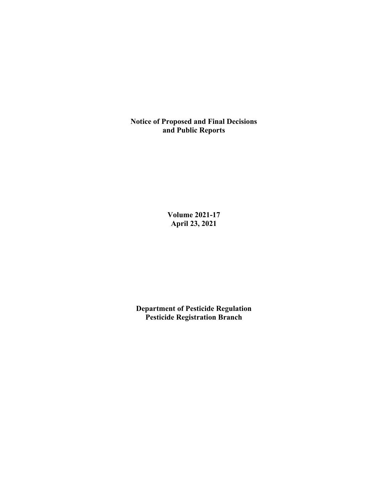**Notice of Proposed and Final Decisions and Public Reports**

> **Volume 2021-17 April 23, 2021**

**Department of Pesticide Regulation Pesticide Registration Branch**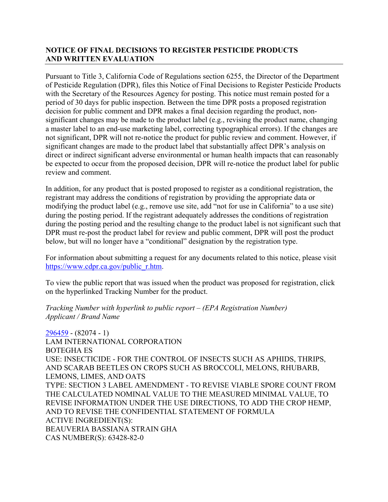# **NOTICE OF FINAL DECISIONS TO REGISTER PESTICIDE PRODUCTS AND WRITTEN EVALUATION**

Pursuant to Title 3, California Code of Regulations section 6255, the Director of the Department of Pesticide Regulation (DPR), files this Notice of Final Decisions to Register Pesticide Products with the Secretary of the Resources Agency for posting. This notice must remain posted for a period of 30 days for public inspection. Between the time DPR posts a proposed registration decision for public comment and DPR makes a final decision regarding the product, nonsignificant changes may be made to the product label (e.g., revising the product name, changing a master label to an end-use marketing label, correcting typographical errors). If the changes are not significant, DPR will not re-notice the product for public review and comment. However, if significant changes are made to the product label that substantially affect DPR's analysis on direct or indirect significant adverse environmental or human health impacts that can reasonably be expected to occur from the proposed decision, DPR will re-notice the product label for public review and comment.

In addition, for any product that is posted proposed to register as a conditional registration, the registrant may address the conditions of registration by providing the appropriate data or modifying the product label (e.g., remove use site, add "not for use in California" to a use site) during the posting period. If the registrant adequately addresses the conditions of registration during the posting period and the resulting change to the product label is not significant such that DPR must re-post the product label for review and public comment, DPR will post the product below, but will no longer have a "conditional" designation by the registration type.

For information about submitting a request for any documents related to this notice, please visit [https://www.cdpr.ca.gov/public\\_r.htm.](https://www.cdpr.ca.gov/public_r.htm)

To view the public report that was issued when the product was proposed for registration, click on the hyperlinked Tracking Number for the product.

*Tracking Number with hyperlink to public report – (EPA Registration Number) Applicant / Brand Name*

[296459](https://www.cdpr.ca.gov/docs/registration/nod/public_reports/296459.pdf) - (82074 - 1) LAM INTERNATIONAL CORPORATION BOTEGHA ES USE: INSECTICIDE - FOR THE CONTROL OF INSECTS SUCH AS APHIDS, THRIPS, AND SCARAB BEETLES ON CROPS SUCH AS BROCCOLI, MELONS, RHUBARB, LEMONS, LIMES, AND OATS TYPE: SECTION 3 LABEL AMENDMENT - TO REVISE VIABLE SPORE COUNT FROM THE CALCULATED NOMINAL VALUE TO THE MEASURED MINIMAL VALUE, TO REVISE INFORMATION UNDER THE USE DIRECTIONS, TO ADD THE CROP HEMP, AND TO REVISE THE CONFIDENTIAL STATEMENT OF FORMULA ACTIVE INGREDIENT(S): BEAUVERIA BASSIANA STRAIN GHA CAS NUMBER(S): 63428-82-0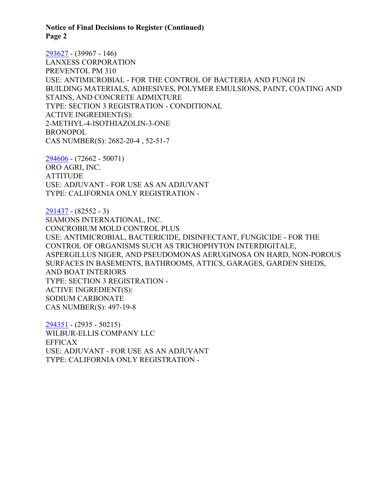**Notice of Final Decisions to Register (Continued) Page 2**

[293627](https://www.cdpr.ca.gov/docs/registration/nod/public_reports/293627.pdf) - (39967 - 146) LANXESS CORPORATION PREVENTOL PM 310 USE: ANTIMICROBIAL - FOR THE CONTROL OF BACTERIA AND FUNGI IN BUILDING MATERIALS, ADHESIVES, POLYMER EMULSIONS, PAINT, COATING AND STAINS, AND CONCRETE ADMIXTURE TYPE: SECTION 3 REGISTRATION - CONDITIONAL ACTIVE INGREDIENT(S): 2-METHYL-4-ISOTHIAZOLIN-3-ONE BRONOPOL CAS NUMBER(S): 2682-20-4 , 52-51-7

[294606](https://www.cdpr.ca.gov/docs/registration/nod/public_reports/294606.pdf) - (72662 - 50071) ORO AGRI, INC. ATTITUDE USE: ADJUVANT - FOR USE AS AN ADJUVANT TYPE: CALIFORNIA ONLY REGISTRATION -

[291437](https://www.cdpr.ca.gov/docs/registration/nod/public_reports/291437.pdf) - (82552 - 3) SIAMONS INTERNATIONAL, INC. CONCROBIUM MOLD CONTROL PLUS USE: ANTIMICROBIAL, BACTERICIDE, DISINFECTANT, FUNGICIDE - FOR THE CONTROL OF ORGANISMS SUCH AS TRICHOPHYTON INTERDIGITALE, ASPERGILLUS NIGER, AND PSEUDOMONAS AERUGINOSA ON HARD, NON-POROUS SURFACES IN BASEMENTS, BATHROOMS, ATTICS, GARAGES, GARDEN SHEDS, AND BOAT INTERIORS TYPE: SECTION 3 REGISTRATION - ACTIVE INGREDIENT(S): SODIUM CARBONATE CAS NUMBER(S): 497-19-8

[294351](https://www.cdpr.ca.gov/docs/registration/nod/public_reports/294351.pdf) - (2935 - 50215) WILBUR-ELLIS COMPANY LLC EFFICAX USE: ADJUVANT - FOR USE AS AN ADJUVANT TYPE: CALIFORNIA ONLY REGISTRATION -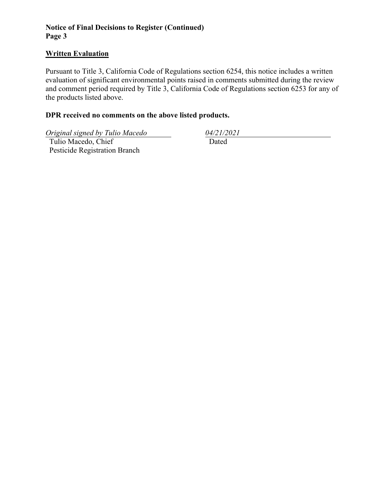# **Notice of Final Decisions to Register (Continued) Page 3**

### **Written Evaluation**

Pursuant to Title 3, California Code of Regulations section 6254, this notice includes a written evaluation of significant environmental points raised in comments submitted during the review and comment period required by Title 3, California Code of Regulations section 6253 for any of the products listed above.

### **DPR received no comments on the above listed products.**

*Original signed by Tulio Macedo 04/21/2021*

 Tulio Macedo, Chief Pesticide Registration Branch

Dated